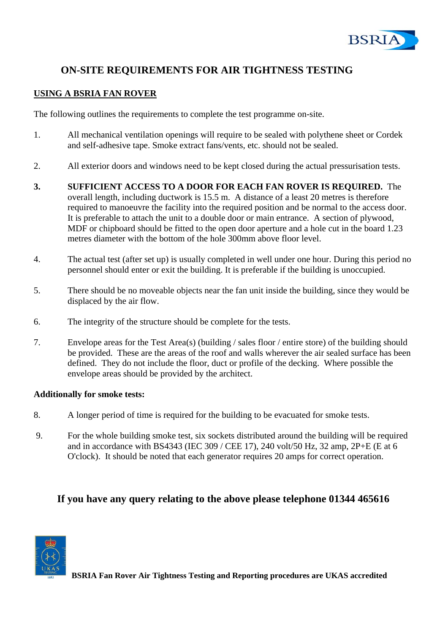

# **ON-SITE REQUIREMENTS FOR AIR TIGHTNESS TESTING**

## **USING A BSRIA FAN ROVER**

The following outlines the requirements to complete the test programme on-site.

- 1. All mechanical ventilation openings will require to be sealed with polythene sheet or Cordek and self-adhesive tape. Smoke extract fans/vents, etc. should not be sealed.
- 2. All exterior doors and windows need to be kept closed during the actual pressurisation tests.
- **3. SUFFICIENT ACCESS TO A DOOR FOR EACH FAN ROVER IS REQUIRED.** The overall length, including ductwork is 15.5 m. A distance of a least 20 metres is therefore required to manoeuvre the facility into the required position and be normal to the access door. It is preferable to attach the unit to a double door or main entrance. A section of plywood, MDF or chipboard should be fitted to the open door aperture and a hole cut in the board 1.23 metres diameter with the bottom of the hole 300mm above floor level.
- 4. The actual test (after set up) is usually completed in well under one hour. During this period no personnel should enter or exit the building. It is preferable if the building is unoccupied.
- 5. There should be no moveable objects near the fan unit inside the building, since they would be displaced by the air flow.
- 6. The integrity of the structure should be complete for the tests.
- 7. Envelope areas for the Test Area(s) (building / sales floor / entire store) of the building should be provided. These are the areas of the roof and walls wherever the air sealed surface has been defined. They do not include the floor, duct or profile of the decking. Where possible the envelope areas should be provided by the architect.

#### **Additionally for smoke tests:**

- 8. A longer period of time is required for the building to be evacuated for smoke tests.
- 9. For the whole building smoke test, six sockets distributed around the building will be required and in accordance with BS4343 (IEC 309 / CEE 17), 240 volt/50 Hz, 32 amp, 2P+E (E at 6 O'clock). It should be noted that each generator requires 20 amps for correct operation.

# **If you have any query relating to the above please telephone 01344 465616**